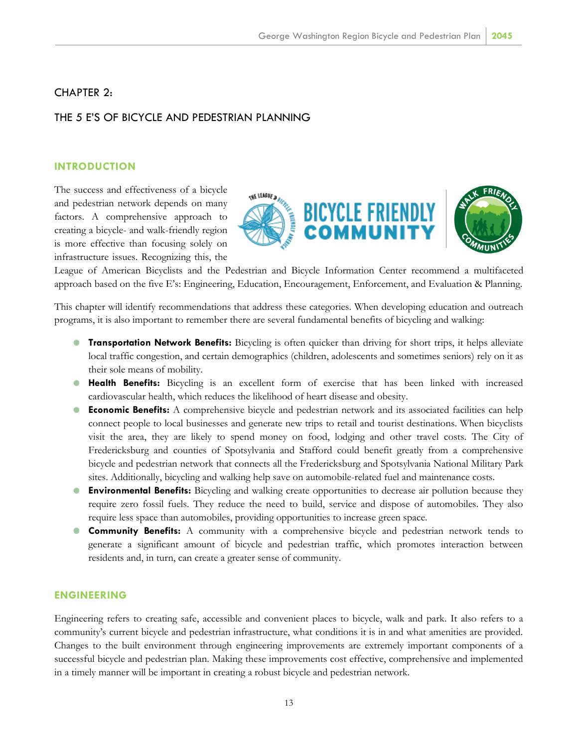# CHAPTER 2:

# THE 5 E'S OF BICYCLE AND PEDESTRIAN PLANNING

### **INTRODUCTION**

The success and effectiveness of a bicycle and pedestrian network depends on many factors. A comprehensive approach to creating a bicycle- and walk-friendly region is more effective than focusing solely on infrastructure issues. Recognizing this, the





League of American Bicyclists and the Pedestrian and Bicycle Information Center recommend a multifaceted approach based on the five E's: Engineering, Education, Encouragement, Enforcement, and Evaluation & Planning.

This chapter will identify recommendations that address these categories. When developing education and outreach programs, it is also important to remember there are several fundamental benefits of bicycling and walking:

- **Transportation Network Benefits:** Bicycling is often quicker than driving for short trips, it helps alleviate local traffic congestion, and certain demographics (children, adolescents and sometimes seniors) rely on it as their sole means of mobility.
- **Health Benefits:** Bicycling is an excellent form of exercise that has been linked with increased cardiovascular health, which reduces the likelihood of heart disease and obesity.
- $\bullet$ **Economic Benefits:** A comprehensive bicycle and pedestrian network and its associated facilities can help connect people to local businesses and generate new trips to retail and tourist destinations. When bicyclists visit the area, they are likely to spend money on food, lodging and other travel costs. The City of Fredericksburg and counties of Spotsylvania and Stafford could benefit greatly from a comprehensive bicycle and pedestrian network that connects all the Fredericksburg and Spotsylvania National Military Park sites. Additionally, bicycling and walking help save on automobile-related fuel and maintenance costs.
- **Environmental Benefits:** Bicycling and walking create opportunities to decrease air pollution because they require zero fossil fuels. They reduce the need to build, service and dispose of automobiles. They also require less space than automobiles, providing opportunities to increase green space.
- **Community Benefits:** A community with a comprehensive bicycle and pedestrian network tends to generate a significant amount of bicycle and pedestrian traffic, which promotes interaction between residents and, in turn, can create a greater sense of community.

### **ENGINEERING**

Engineering refers to creating safe, accessible and convenient places to bicycle, walk and park. It also refers to a community's current bicycle and pedestrian infrastructure, what conditions it is in and what amenities are provided. Changes to the built environment through engineering improvements are extremely important components of a successful bicycle and pedestrian plan. Making these improvements cost effective, comprehensive and implemented in a timely manner will be important in creating a robust bicycle and pedestrian network.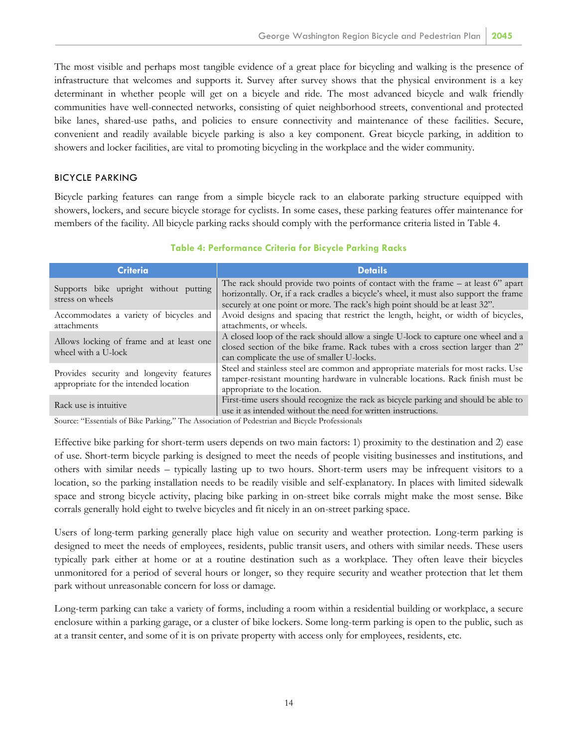The most visible and perhaps most tangible evidence of a great place for bicycling and walking is the presence of infrastructure that welcomes and supports it. Survey after survey shows that the physical environment is a key determinant in whether people will get on a bicycle and ride. The most advanced bicycle and walk friendly communities have well-connected networks, consisting of quiet neighborhood streets, conventional and protected bike lanes, shared-use paths, and policies to ensure connectivity and maintenance of these facilities. Secure, convenient and readily available bicycle parking is also a key component. Great bicycle parking, in addition to showers and locker facilities, are vital to promoting bicycling in the workplace and the wider community.

### BICYCLE PARKING

Bicycle parking features can range from a simple bicycle rack to an elaborate parking structure equipped with showers, lockers, and secure bicycle storage for cyclists. In some cases, these parking features offer maintenance for members of the facility. All bicycle parking racks should comply with the performance criteria listed in Table 4.

| <b>Criteria</b>                                                                   | <b>Details</b>                                                                                                                                                                                                                                              |
|-----------------------------------------------------------------------------------|-------------------------------------------------------------------------------------------------------------------------------------------------------------------------------------------------------------------------------------------------------------|
| Supports bike upright without putting<br>stress on wheels                         | The rack should provide two points of contact with the frame $-$ at least 6" apart<br>horizontally. Or, if a rack cradles a bicycle's wheel, it must also support the frame<br>securely at one point or more. The rack's high point should be at least 32". |
| Accommodates a variety of bicycles and<br>attachments                             | Avoid designs and spacing that restrict the length, height, or width of bicycles,<br>attachments, or wheels.                                                                                                                                                |
| Allows locking of frame and at least one<br>wheel with a U-lock                   | A closed loop of the rack should allow a single U-lock to capture one wheel and a<br>closed section of the bike frame. Rack tubes with a cross section larger than 2"<br>can complicate the use of smaller U-locks.                                         |
| Provides security and longevity features<br>appropriate for the intended location | Steel and stainless steel are common and appropriate materials for most racks. Use<br>tamper-resistant mounting hardware in vulnerable locations. Rack finish must be<br>appropriate to the location.                                                       |
| Rack use is intuitive.<br>$\mathbf{r}$ and $\mathbf{r}$ is $\mathbf{r}$<br>(1)    | First-time users should recognize the rack as bicycle parking and should be able to<br>use it as intended without the need for written instructions.<br>$\sim$ 1 $\sim$ 1 $\sim$ 6 $\sim$ 1                                                                 |

### **Table 4: Performance Criteria for Bicycle Parking Racks**

Source: "Essentials of Bike Parking*,*" The Association of Pedestrian and Bicycle Professionals

Effective bike parking for short-term users depends on two main factors: 1) proximity to the destination and 2) ease of use. Short-term bicycle parking is designed to meet the needs of people visiting businesses and institutions, and others with similar needs – typically lasting up to two hours. Short-term users may be infrequent visitors to a location, so the parking installation needs to be readily visible and self-explanatory. In places with limited sidewalk space and strong bicycle activity, placing bike parking in on-street bike corrals might make the most sense. Bike corrals generally hold eight to twelve bicycles and fit nicely in an on-street parking space.

Users of long-term parking generally place high value on security and weather protection. Long-term parking is designed to meet the needs of employees, residents, public transit users, and others with similar needs. These users typically park either at home or at a routine destination such as a workplace. They often leave their bicycles unmonitored for a period of several hours or longer, so they require security and weather protection that let them park without unreasonable concern for loss or damage.

Long-term parking can take a variety of forms, including a room within a residential building or workplace, a secure enclosure within a parking garage, or a cluster of bike lockers. Some long-term parking is open to the public, such as at a transit center, and some of it is on private property with access only for employees, residents, etc.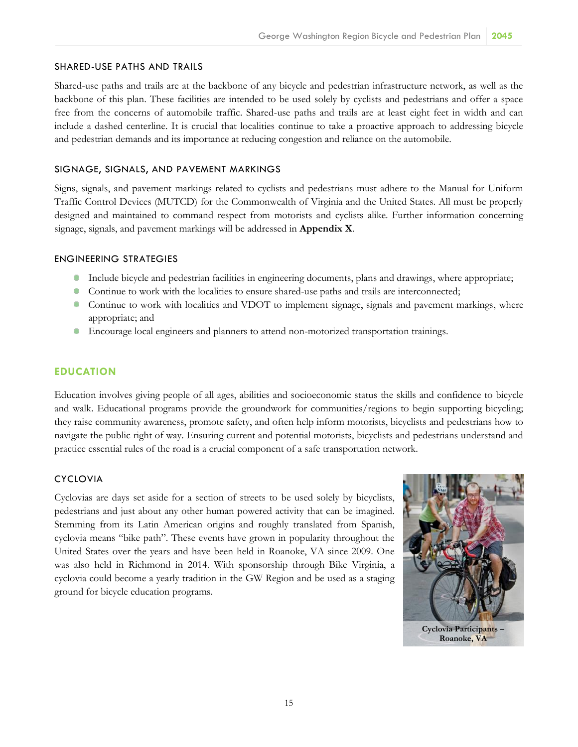### SHARED-USE PATHS AND TRAILS

Shared-use paths and trails are at the backbone of any bicycle and pedestrian infrastructure network, as well as the backbone of this plan. These facilities are intended to be used solely by cyclists and pedestrians and offer a space free from the concerns of automobile traffic. Shared-use paths and trails are at least eight feet in width and can include a dashed centerline. It is crucial that localities continue to take a proactive approach to addressing bicycle and pedestrian demands and its importance at reducing congestion and reliance on the automobile.

# SIGNAGE, SIGNALS, AND PAVEMENT MARKINGS

Signs, signals, and pavement markings related to cyclists and pedestrians must adhere to the Manual for Uniform Traffic Control Devices (MUTCD) for the Commonwealth of Virginia and the United States. All must be properly designed and maintained to command respect from motorists and cyclists alike. Further information concerning signage, signals, and pavement markings will be addressed in **Appendix X**.

# ENGINEERING STRATEGIES

- Include bicycle and pedestrian facilities in engineering documents, plans and drawings, where appropriate;
- Continue to work with the localities to ensure shared-use paths and trails are interconnected;
- Continue to work with localities and VDOT to implement signage, signals and pavement markings, where appropriate; and
- Encourage local engineers and planners to attend non-motorized transportation trainings.

# **EDUCATION**

Education involves giving people of all ages, abilities and socioeconomic status the skills and confidence to bicycle and walk. Educational programs provide the groundwork for communities/regions to begin supporting bicycling; they raise community awareness, promote safety, and often help inform motorists, bicyclists and pedestrians how to navigate the public right of way. Ensuring current and potential motorists, bicyclists and pedestrians understand and practice essential rules of the road is a crucial component of a safe transportation network.

# CYCLOVIA

Cyclovias are days set aside for a section of streets to be used solely by bicyclists, pedestrians and just about any other human powered activity that can be imagined. Stemming from its Latin American origins and roughly translated from Spanish, cyclovia means "bike path". These events have grown in popularity throughout the United States over the years and have been held in Roanoke, VA since 2009. One was also held in Richmond in 2014. With sponsorship through Bike Virginia, a cyclovia could become a yearly tradition in the GW Region and be used as a staging ground for bicycle education programs.

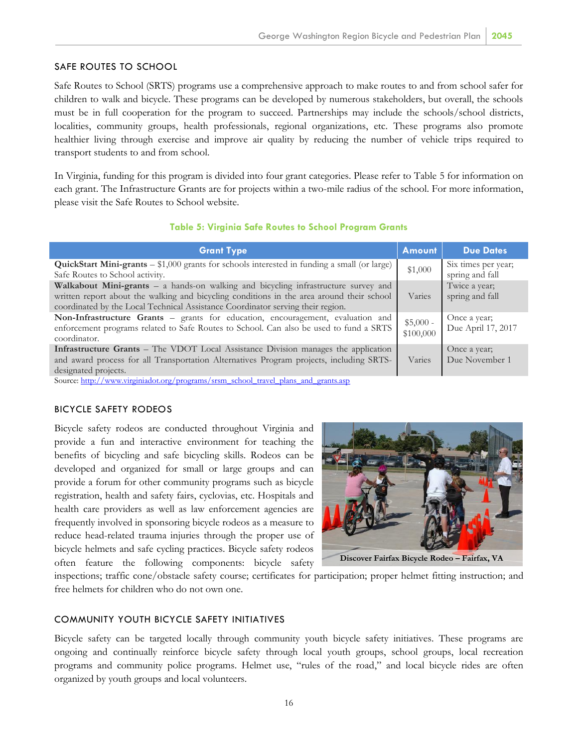# SAFE ROUTES TO SCHOOL

Safe Routes to School (SRTS) programs use a comprehensive approach to make routes to and from school safer for children to walk and bicycle. These programs can be developed by numerous stakeholders, but overall, the schools must be in full cooperation for the program to succeed. Partnerships may include the schools/school districts, localities, community groups, health professionals, regional organizations, etc. These programs also promote healthier living through exercise and improve air quality by reducing the number of vehicle trips required to transport students to and from school.

In Virginia, funding for this program is divided into four grant categories. Please refer to Table 5 for information on each grant. The Infrastructure Grants are for projects within a two-mile radius of the school. For more information, please visit the Safe Routes to School website.

### **Table 5: Virginia Safe Routes to School Program Grants**

| <b>Grant Type</b>                                                                                                                                                                                                                                                  | <b>Amount</b>           | <b>Due Dates</b>                       |
|--------------------------------------------------------------------------------------------------------------------------------------------------------------------------------------------------------------------------------------------------------------------|-------------------------|----------------------------------------|
| QuickStart Mini-grants - \$1,000 grants for schools interested in funding a small (or large)<br>Safe Routes to School activity.                                                                                                                                    | \$1,000                 | Six times per year;<br>spring and fall |
| Walkabout Mini-grants – a hands-on walking and bicycling infrastructure survey and<br>written report about the walking and bicycling conditions in the area around their school<br>coordinated by the Local Technical Assistance Coordinator serving their region. | Varies                  | Twice a year;<br>spring and fall       |
| Non-Infrastructure Grants - grants for education, encouragement, evaluation and<br>enforcement programs related to Safe Routes to School. Can also be used to fund a SRTS<br>coordinator.                                                                          | $$5,000 -$<br>\$100,000 | Once a year;<br>Due April 17, 2017     |
| Infrastructure Grants - The VDOT Local Assistance Division manages the application<br>and award process for all Transportation Alternatives Program projects, including SRTS-<br>designated projects.                                                              | Varies                  | Once a year;<br>Due November 1         |

Source[: http://www.virginiadot.org/programs/srsm\\_school\\_travel\\_plans\\_and\\_grants.asp](http://www.virginiadot.org/programs/srsm_school_travel_plans_and_grants.asp)

# BICYCLE SAFETY RODEOS

Bicycle safety rodeos are conducted throughout Virginia and provide a fun and interactive environment for teaching the benefits of bicycling and safe bicycling skills. Rodeos can be developed and organized for small or large groups and can provide a forum for other community programs such as bicycle registration, health and safety fairs, cyclovias, etc. Hospitals and health care providers as well as law enforcement agencies are frequently involved in sponsoring bicycle rodeos as a measure to reduce head-related trauma injuries through the proper use of bicycle helmets and safe cycling practices. Bicycle safety rodeos often feature the following components: bicycle safety



**Discover Fairfax Bicycle Rodeo – Fairfax, VA**

inspections; traffic cone/obstacle safety course; certificates for participation; proper helmet fitting instruction; and free helmets for children who do not own one.

### COMMUNITY YOUTH BICYCLE SAFETY INITIATIVES

Bicycle safety can be targeted locally through community youth bicycle safety initiatives. These programs are ongoing and continually reinforce bicycle safety through local youth groups, school groups, local recreation programs and community police programs. Helmet use, "rules of the road," and local bicycle rides are often organized by youth groups and local volunteers.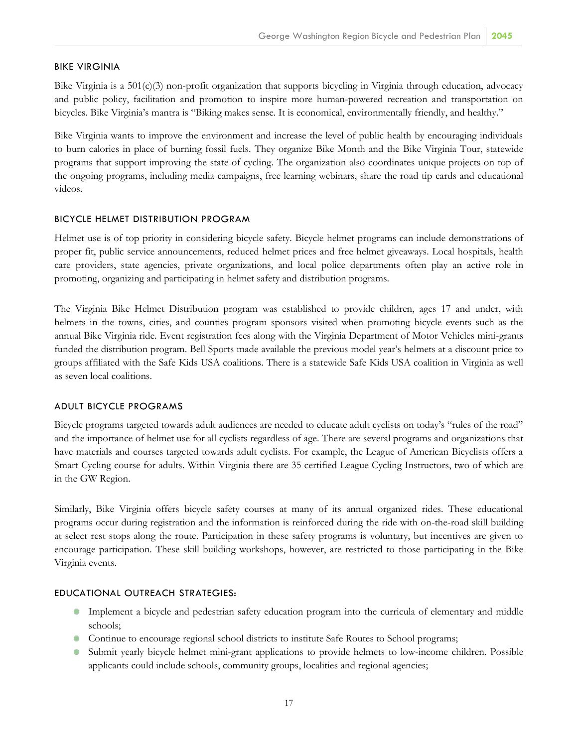### BIKE VIRGINIA

Bike Virginia is a  $501(c)(3)$  non-profit organization that supports bicycling in Virginia through education, advocacy and public policy, facilitation and promotion to inspire more human-powered recreation and transportation on bicycles. Bike Virginia's mantra is "Biking makes sense. It is economical, environmentally friendly, and healthy."

Bike Virginia wants to improve the environment and increase the level of public health by encouraging individuals to burn calories in place of burning fossil fuels. They organize Bike Month and the Bike Virginia Tour, statewide programs that support improving the state of cycling. The organization also coordinates unique projects on top of the ongoing programs, including media campaigns, free learning webinars, share the road tip cards and educational videos.

# BICYCLE HELMET DISTRIBUTION PROGRAM

Helmet use is of top priority in considering bicycle safety. Bicycle helmet programs can include demonstrations of proper fit, public service announcements, reduced helmet prices and free helmet giveaways. Local hospitals, health care providers, state agencies, private organizations, and local police departments often play an active role in promoting, organizing and participating in helmet safety and distribution programs.

The Virginia Bike Helmet Distribution program was established to provide children, ages 17 and under, with helmets in the towns, cities, and counties program sponsors visited when promoting bicycle events such as the annual Bike Virginia ride. Event registration fees along with the Virginia Department of Motor Vehicles mini-grants funded the distribution program. Bell Sports made available the previous model year's helmets at a discount price to groups affiliated with the Safe Kids USA coalitions. There is a statewide Safe Kids USA coalition in Virginia as well as seven local coalitions.

# ADULT BICYCLE PROGRAMS

Bicycle programs targeted towards adult audiences are needed to educate adult cyclists on today's "rules of the road" and the importance of helmet use for all cyclists regardless of age. There are several programs and organizations that have materials and courses targeted towards adult cyclists. For example, the League of American Bicyclists offers a Smart Cycling course for adults. Within Virginia there are 35 certified League Cycling Instructors, two of which are in the GW Region.

Similarly, Bike Virginia offers bicycle safety courses at many of its annual organized rides. These educational programs occur during registration and the information is reinforced during the ride with on-the-road skill building at select rest stops along the route. Participation in these safety programs is voluntary, but incentives are given to encourage participation. These skill building workshops, however, are restricted to those participating in the Bike Virginia events.

### EDUCATIONAL OUTREACH STRATEGIES:

- Implement a bicycle and pedestrian safety education program into the curricula of elementary and middle schools;
- Continue to encourage regional school districts to institute Safe Routes to School programs;
- Submit yearly bicycle helmet mini-grant applications to provide helmets to low-income children. Possible applicants could include schools, community groups, localities and regional agencies;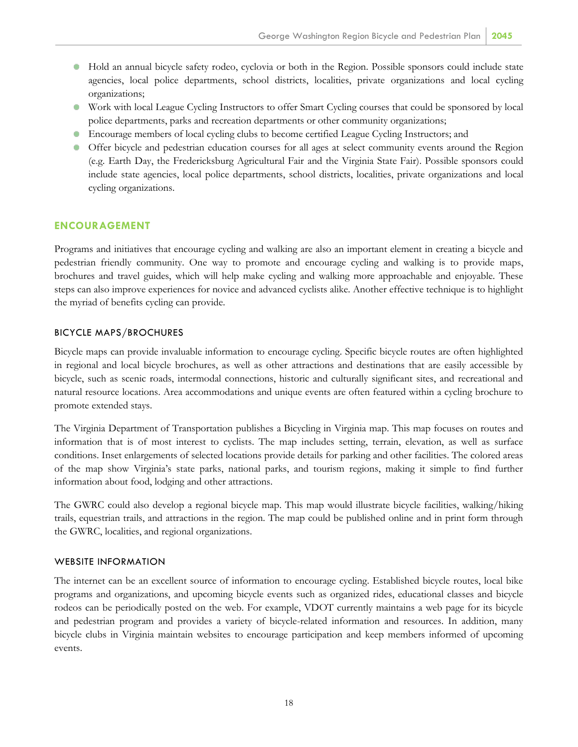- Hold an annual bicycle safety rodeo, cyclovia or both in the Region. Possible sponsors could include state agencies, local police departments, school districts, localities, private organizations and local cycling organizations;
- Work with local League Cycling Instructors to offer Smart Cycling courses that could be sponsored by local police departments, parks and recreation departments or other community organizations;
- Encourage members of local cycling clubs to become certified League Cycling Instructors; and
- Offer bicycle and pedestrian education courses for all ages at select community events around the Region (e.g. Earth Day, the Fredericksburg Agricultural Fair and the Virginia State Fair). Possible sponsors could include state agencies, local police departments, school districts, localities, private organizations and local cycling organizations.

# **ENCOURAGEMENT**

Programs and initiatives that encourage cycling and walking are also an important element in creating a bicycle and pedestrian friendly community. One way to promote and encourage cycling and walking is to provide maps, brochures and travel guides, which will help make cycling and walking more approachable and enjoyable. These steps can also improve experiences for novice and advanced cyclists alike. Another effective technique is to highlight the myriad of benefits cycling can provide.

### BICYCLE MAPS/BROCHURES

Bicycle maps can provide invaluable information to encourage cycling. Specific bicycle routes are often highlighted in regional and local bicycle brochures, as well as other attractions and destinations that are easily accessible by bicycle, such as scenic roads, intermodal connections, historic and culturally significant sites, and recreational and natural resource locations. Area accommodations and unique events are often featured within a cycling brochure to promote extended stays.

The Virginia Department of Transportation publishes a Bicycling in Virginia map. This map focuses on routes and information that is of most interest to cyclists. The map includes setting, terrain, elevation, as well as surface conditions. Inset enlargements of selected locations provide details for parking and other facilities. The colored areas of the map show Virginia's state parks, national parks, and tourism regions, making it simple to find further information about food, lodging and other attractions.

The GWRC could also develop a regional bicycle map. This map would illustrate bicycle facilities, walking/hiking trails, equestrian trails, and attractions in the region. The map could be published online and in print form through the GWRC, localities, and regional organizations.

### WEBSITE INFORMATION

The internet can be an excellent source of information to encourage cycling. Established bicycle routes, local bike programs and organizations, and upcoming bicycle events such as organized rides, educational classes and bicycle rodeos can be periodically posted on the web. For example, VDOT currently maintains a web page for its bicycle and pedestrian program and provides a variety of bicycle-related information and resources. In addition, many bicycle clubs in Virginia maintain websites to encourage participation and keep members informed of upcoming events.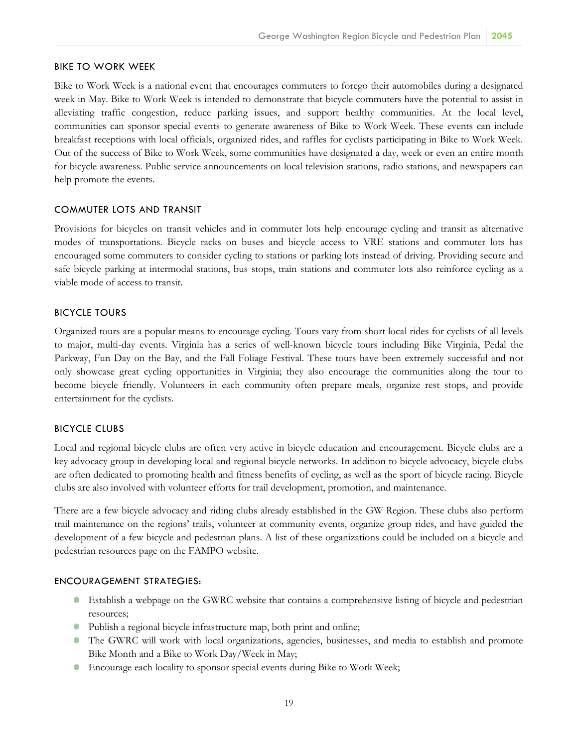#### BIKE TO WORK WEEK

Bike to Work Week is a national event that encourages commuters to forego their automobiles during a designated week in May. Bike to Work Week is intended to demonstrate that bicycle commuters have the potential to assist in alleviating traffic congestion, reduce parking issues, and support healthy communities. At the local level, communities can sponsor special events to generate awareness of Bike to Work Week. These events can include breakfast receptions with local officials, organized rides, and raffles for cyclists participating in Bike to Work Week. Out of the success of Bike to Work Week, some communities have designated a day, week or even an entire month for bicycle awareness. Public service announcements on local television stations, radio stations, and newspapers can help promote the events.

#### COMMUTER LOTS AND TRANSIT

Provisions for bicycles on transit vehicles and in commuter lots help encourage cycling and transit as alternative modes of transportations. Bicycle racks on buses and bicycle access to VRE stations and commuter lots has encouraged some commuters to consider cycling to stations or parking lots instead of driving. Providing secure and safe bicycle parking at intermodal stations, bus stops, train stations and commuter lots also reinforce cycling as a viable mode of access to transit.

### BICYCLE TOURS

Organized tours are a popular means to encourage cycling. Tours vary from short local rides for cyclists of all levels to major, multi-day events. Virginia has a series of well-known bicycle tours including Bike Virginia, Pedal the Parkway, Fun Day on the Bay, and the Fall Foliage Festival. These tours have been extremely successful and not only showcase great cycling opportunities in Virginia; they also encourage the communities along the tour to become bicycle friendly. Volunteers in each community often prepare meals, organize rest stops, and provide entertainment for the cyclists.

### BICYCLE CLUBS

Local and regional bicycle clubs are often very active in bicycle education and encouragement. Bicycle clubs are a key advocacy group in developing local and regional bicycle networks. In addition to bicycle advocacy, bicycle clubs are often dedicated to promoting health and fitness benefits of cycling, as well as the sport of bicycle racing. Bicycle clubs are also involved with volunteer efforts for trail development, promotion, and maintenance.

There are a few bicycle advocacy and riding clubs already established in the GW Region. These clubs also perform trail maintenance on the regions' trails, volunteer at community events, organize group rides, and have guided the development of a few bicycle and pedestrian plans. A list of these organizations could be included on a bicycle and pedestrian resources page on the FAMPO website.

### ENCOURAGEMENT STRATEGIES:

- Establish a webpage on the GWRC website that contains a comprehensive listing of bicycle and pedestrian resources;
- Publish a regional bicycle infrastructure map, both print and online;
- The GWRC will work with local organizations, agencies, businesses, and media to establish and promote Bike Month and a Bike to Work Day/Week in May;
- Encourage each locality to sponsor special events during Bike to Work Week;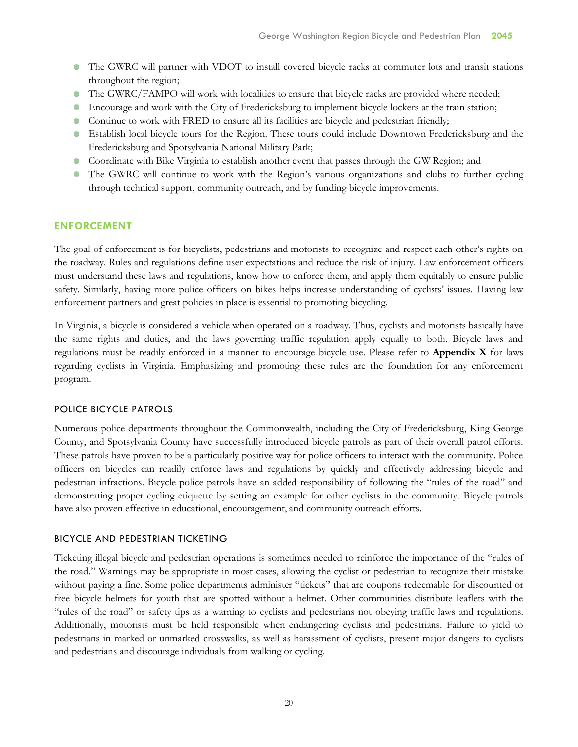- The GWRC will partner with VDOT to install covered bicycle racks at commuter lots and transit stations ۰ throughout the region;
- The GWRC/FAMPO will work with localities to ensure that bicycle racks are provided where needed;  $\bullet$
- Encourage and work with the City of Fredericksburg to implement bicycle lockers at the train station;
- Continue to work with FRED to ensure all its facilities are bicycle and pedestrian friendly;
- Establish local bicycle tours for the Region. These tours could include Downtown Fredericksburg and the Fredericksburg and Spotsylvania National Military Park;
- Coordinate with Bike Virginia to establish another event that passes through the GW Region; and
- The GWRC will continue to work with the Region's various organizations and clubs to further cycling through technical support, community outreach, and by funding bicycle improvements.

### **ENFORCEMENT**

The goal of enforcement is for bicyclists, pedestrians and motorists to recognize and respect each other's rights on the roadway. Rules and regulations define user expectations and reduce the risk of injury. Law enforcement officers must understand these laws and regulations, know how to enforce them, and apply them equitably to ensure public safety. Similarly, having more police officers on bikes helps increase understanding of cyclists' issues. Having law enforcement partners and great policies in place is essential to promoting bicycling.

In Virginia, a bicycle is considered a vehicle when operated on a roadway. Thus, cyclists and motorists basically have the same rights and duties, and the laws governing traffic regulation apply equally to both. Bicycle laws and regulations must be readily enforced in a manner to encourage bicycle use. Please refer to **Appendix X** for laws regarding cyclists in Virginia. Emphasizing and promoting these rules are the foundation for any enforcement program.

### POLICE BICYCLE PATROLS

Numerous police departments throughout the Commonwealth, including the City of Fredericksburg, King George County, and Spotsylvania County have successfully introduced bicycle patrols as part of their overall patrol efforts. These patrols have proven to be a particularly positive way for police officers to interact with the community. Police officers on bicycles can readily enforce laws and regulations by quickly and effectively addressing bicycle and pedestrian infractions. Bicycle police patrols have an added responsibility of following the "rules of the road" and demonstrating proper cycling etiquette by setting an example for other cyclists in the community. Bicycle patrols have also proven effective in educational, encouragement, and community outreach efforts.

#### BICYCLE AND PEDESTRIAN TICKETING

Ticketing illegal bicycle and pedestrian operations is sometimes needed to reinforce the importance of the "rules of the road." Warnings may be appropriate in most cases, allowing the cyclist or pedestrian to recognize their mistake without paying a fine. Some police departments administer "tickets" that are coupons redeemable for discounted or free bicycle helmets for youth that are spotted without a helmet. Other communities distribute leaflets with the "rules of the road" or safety tips as a warning to cyclists and pedestrians not obeying traffic laws and regulations. Additionally, motorists must be held responsible when endangering cyclists and pedestrians. Failure to yield to pedestrians in marked or unmarked crosswalks, as well as harassment of cyclists, present major dangers to cyclists and pedestrians and discourage individuals from walking or cycling.